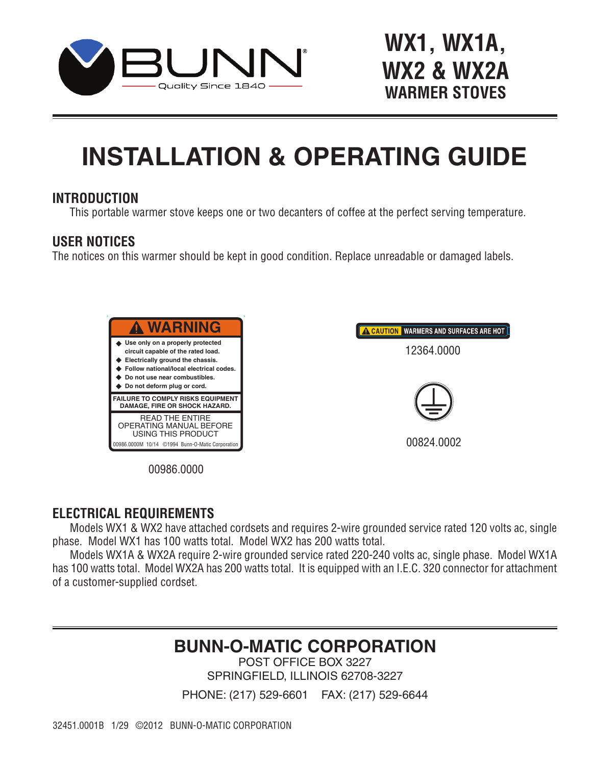

# **WX1, WX1A, WX2 & WX2A WARMER STOVES**

### RELATIONS OF **INSTALLATION & OPERATING GUIDE**

### **INTRODUCTION**

This portable warmer stove keeps one or two decanters of coffee at the perfect serving temperature.

### **USER NOTICES**

The notices on this warmer should be kept in good condition. Replace unreadable or damaged labels.





00986.0000

#### L DEALU ELECTRICAL REQUIREMENTS

Date: 10/24/14 Models WX1 & WX2 have attached cordsets and requires 2-wire grounded service rated 120 volts ac, single DIR Num: 12364.0000 25, June 2015 phase. Model WX1 has 100 watts total. Model WX2 has 200 watts total.

of a customer-supplied cordset. Models WX1A & WX2A require 2-wire grounded service rated 220-240 volts ac, single phase. Model WX1A has 100 watts total. Model WX2A has 200 watts total. It is equipped with an I.E.C. 320 connector for attachment

## **BUNN-O-MATIC CORPORATION**

POST OFFICE BOX 3227 SPRINGFIELD, ILLINOIS 62708-3227

PHONE: (217) 529-6601 FAX: (217) 529-6644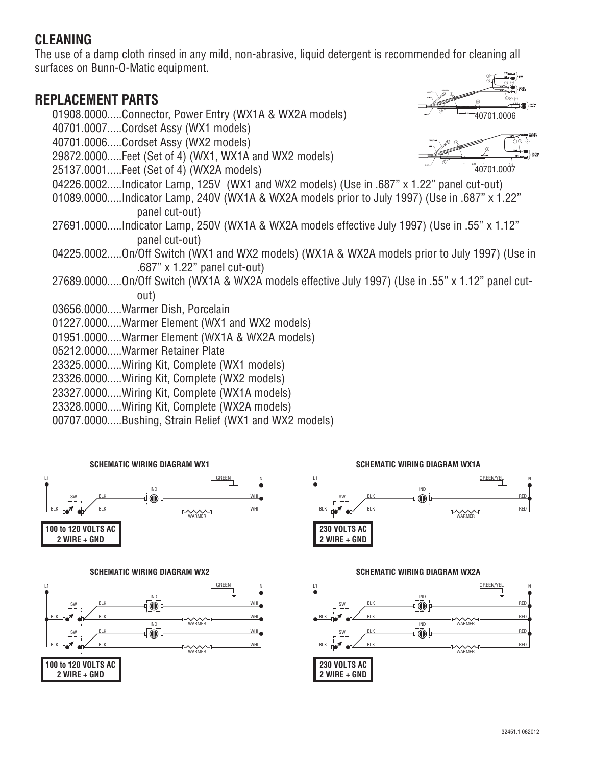### **CLEANING**

The use of a damp cloth rinsed in any mild, non-abrasive, liquid detergent is recommended for cleaning all surfaces on Bunn-O-Matic equipment.

### **REPLACEMENT PARTS**

01908.0000.....Connector, Power Entry (WX1A & WX2A models) 40701.0007.....Cordset Assy (WX1 models) 40701.0006.....Cordset Assy (WX2 models) 29872.0000.....Feet (Set of 4) (WX1, WX1A and WX2 models) 25137.0001.....Feet (Set of 4) (WX2A models) 04226.0002.....Indicator Lamp, 125V (WX1 and WX2 models) (Use in .687" x 1.22" panel cut-out) 01089.0000.....Indicator Lamp, 240V (WX1A & WX2A models prior to July 1997) (Use in .687" x 1.22" panel cut-out) 27691.0000.....Indicator Lamp, 250V (WX1A & WX2A models effective July 1997) (Use in .55" x 1.12" panel cut-out) 04225.0002.....On/Off Switch (WX1 and WX2 models) (WX1A & WX2A models prior to July 1997) (Use in .687" x 1.22" panel cut-out) 27689.0000.....On/Off Switch (WX1A & WX2A models effective July 1997) (Use in .55" x 1.12" panel cutout) 03656.0000.....Warmer Dish, Porcelain 01227.0000.....Warmer Element (WX1 and WX2 models) 01951.0000.....Warmer Element (WX1A & WX2A models) 05212.0000.....Warmer Retainer Plate 23325.0000.....Wiring Kit, Complete (WX1 models) 23326.0000.....Wiring Kit, Complete (WX2 models) 23327.0000.....Wiring Kit, Complete (WX1A models) 23328.0000.....Wiring Kit, Complete (WX2A models) 40701.0006  $\sqrt[40701.0007$ 

00707.0000.....Bushing, Strain Relief (WX1 and WX2 models)



#### **SCHEMATIC WIRING DIAGRAM WX2**



#### **SCHEMATIC WIRING DIAGRAM WX1A**



#### **SCHEMATIC WIRING DIAGRAM WX2A**